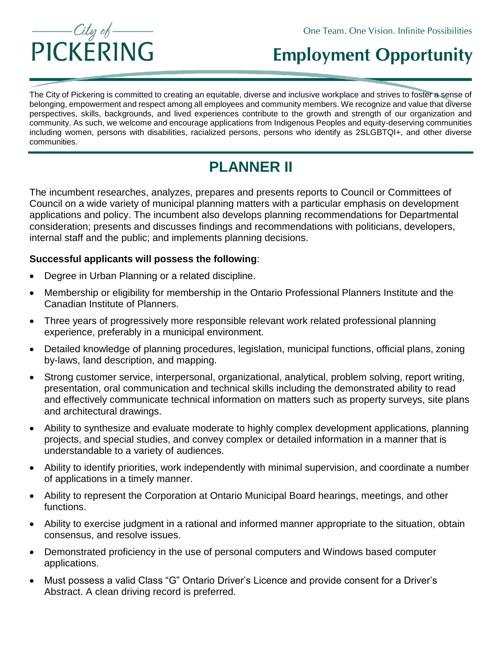

## **Employment Opportunity**

The City of Pickering is committed to creating an equitable, diverse and inclusive workplace and strives to foster a sense of belonging, empowerment and respect among all employees and community members. We recognize and value that diverse perspectives, skills, backgrounds, and lived experiences contribute to the growth and strength of our organization and community. As such, we welcome and encourage applications from Indigenous Peoples and equity-deserving communities including women, persons with disabilities, racialized persons, persons who identify as 2SLGBTQI+, and other diverse communities.

## **PLANNER II**

The incumbent researches, analyzes, prepares and presents reports to Council or Committees of Council on a wide variety of municipal planning matters with a particular emphasis on development applications and policy. The incumbent also develops planning recommendations for Departmental consideration; presents and discusses findings and recommendations with politicians, developers, internal staff and the public; and implements planning decisions.

## **Successful applicants will possess the following**:

- Degree in Urban Planning or a related discipline.
- Membership or eligibility for membership in the Ontario Professional Planners Institute and the Canadian Institute of Planners.
- Three years of progressively more responsible relevant work related professional planning experience, preferably in a municipal environment.
- Detailed knowledge of planning procedures, legislation, municipal functions, official plans, zoning by-laws, land description, and mapping.
- Strong customer service, interpersonal, organizational, analytical, problem solving, report writing, presentation, oral communication and technical skills including the demonstrated ability to read and effectively communicate technical information on matters such as property surveys, site plans and architectural drawings.
- Ability to synthesize and evaluate moderate to highly complex development applications, planning projects, and special studies, and convey complex or detailed information in a manner that is understandable to a variety of audiences.
- Ability to identify priorities, work independently with minimal supervision, and coordinate a number of applications in a timely manner.
- Ability to represent the Corporation at Ontario Municipal Board hearings, meetings, and other functions.
- Ability to exercise judgment in a rational and informed manner appropriate to the situation, obtain consensus, and resolve issues.
- Demonstrated proficiency in the use of personal computers and Windows based computer applications.
- Must possess a valid Class "G" Ontario Driver's Licence and provide consent for a Driver's Abstract. A clean driving record is preferred.